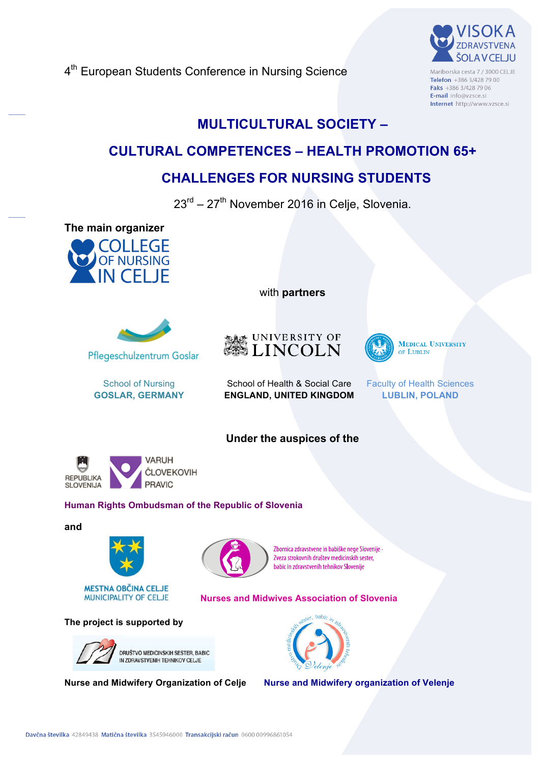4<sup>th</sup> European Students Conference in Nursing Science



Mariborska cesta 7 / 3000 CELJE Telefon +386 3/428 79 00 Faks +386 3/428 79 06 E-mail info@vzsce.si Internet http://www.vzsce.si

# **MULTICULTURAL SOCIETY –**

# **CULTURAL COMPETENCES – HEALTH PROMOTION 65+**

# **CHALLENGES FOR NURSING STUDENTS**

 $23<sup>rd</sup> - 27<sup>th</sup>$  November 2016 in Celje, Slovenia.

**The main organizer**





School of Nursing **GOSLAR, GERMANY** with **partners** 



**Under the auspices of the**



**MEDICAL UNIVERSITY** OF LUBLIN

School of Health & Social Care **ENGLAND, UNITED KINGDOM**  Faculty of Health Sciences **LUBLIN, POLAND**

**VARUH ČLOVEKOVIH REPUBLIKA** 

## **Human Rights Ombudsman of the Republic of Slovenia**

**PRAVIC** 

#### **and**

**SLOVENIJA** 





Zbornica zdravstvene in babiške nege Slovenije -Zveza strokovnih društev medicinskih sester. babic in zdravstvenih tehnikov Slovenije

#### **Nurses and Midwives Association of Slovenia**

#### **The project is supported by**





**Nurse and Midwifery Organization of Celje Nurse and Midwifery organization of Velenje**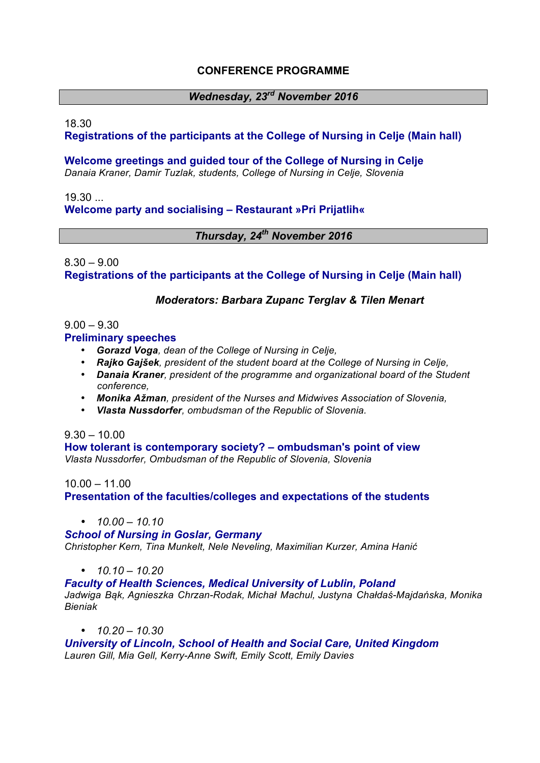## **CONFERENCE PROGRAMME**

## *Wednesday, 23rd November 2016*

#### 18.30

## **Registrations of the participants at the College of Nursing in Celje (Main hall)**

**Welcome greetings and guided tour of the College of Nursing in Celje**

*Danaia Kraner, Damir Tuzlak, students, College of Nursing in Celje, Slovenia*

19.30

## **Welcome party and socialising – Restaurant »Pri Prijatlih«**

## *Thursday, 24th November 2016*

## $8.30 - 9.00$ **Registrations of the participants at the College of Nursing in Celje (Main hall)**

## *Moderators: Barbara Zupanc Terglav & Tilen Menart*

#### $9.00 - 9.30$

#### **Preliminary speeches**

- *Gorazd Voga, dean of the College of Nursing in Celje,*
- *Rajko Gajšek, president of the student board at the College of Nursing in Celje,*
- *Danaia Kraner, president of the programme and organizational board of the Student conference,*
- *Monika Ažman, president of the Nurses and Midwives Association of Slovenia,*
- *Vlasta Nussdorfer, ombudsman of the Republic of Slovenia.*

#### $9.30 - 10.00$

**How tolerant is contemporary society? – ombudsman's point of view** *Vlasta Nussdorfer, Ombudsman of the Republic of Slovenia, Slovenia*

#### 10.00 – 11.00

**Presentation of the faculties/colleges and expectations of the students**

• *10.00 – 10.10*

#### *School of Nursing in Goslar, Germany*

*Christopher Kern, Tina Munkelt, Nele Neveling, Maximilian Kurzer, Amina Hanić*

• *10.10 – 10.20*

*Faculty of Health Sciences, Medical University of Lublin, Poland Jadwiga Bąk, Agnieszka Chrzan-Rodak, Michał Machul, Justyna Chałdaś-Majdańska, Monika Bieniak*

#### • *10.20 – 10.30*

*University of Lincoln, School of Health and Social Care, United Kingdom Lauren Gill, Mia Gell, Kerry-Anne Swift, Emily Scott, Emily Davies*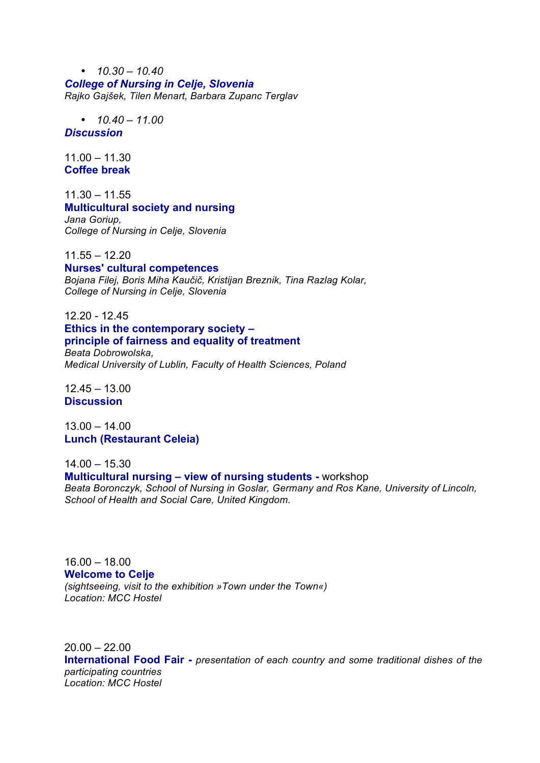• *10.30 – 10.40 College of Nursing in Celje, Slovenia Rajko Gajšek, Tilen Menart, Barbara Zupanc Terglav*

 $\cdot$   $10.40 - 11.00$ 

*Discussion*

11.00 – 11.30 **Coffee break**

11.30 – 11.55 **Multicultural society and nursing** *Jana Goriup, College of Nursing in Celje, Slovenia*

11.55 – 12.20

**Nurses' cultural competences**

*Bojana Filej, Boris Miha Kaučič, Kristijan Breznik, Tina Razlag Kolar, College of Nursing in Celje, Slovenia*

12.20 - 12.45 **Ethics in the contemporary society – principle of fairness and equality of treatment**

*Beata Dobrowolska, Medical University of Lublin, Faculty of Health Sciences, Poland*

12.45 – 13.00 **Discussion**

13.00 – 14.00 **Lunch (Restaurant Celeia)**

14.00 – 15.30

**Multicultural nursing – view of nursing students -** workshop

*Beata Boronczyk, School of Nursing in Goslar, Germany and Ros Kane, University of Lincoln, School of Health and Social Care, United Kingdom.*

16.00 – 18.00 **Welcome to Celje**  *(sightseeing, visit to the exhibition »Town under the Town«) Location: MCC Hostel*

 $20.00 - 22.00$ **International Food Fair -** *presentation of each country and some traditional dishes of the participating countries Location: MCC Hostel*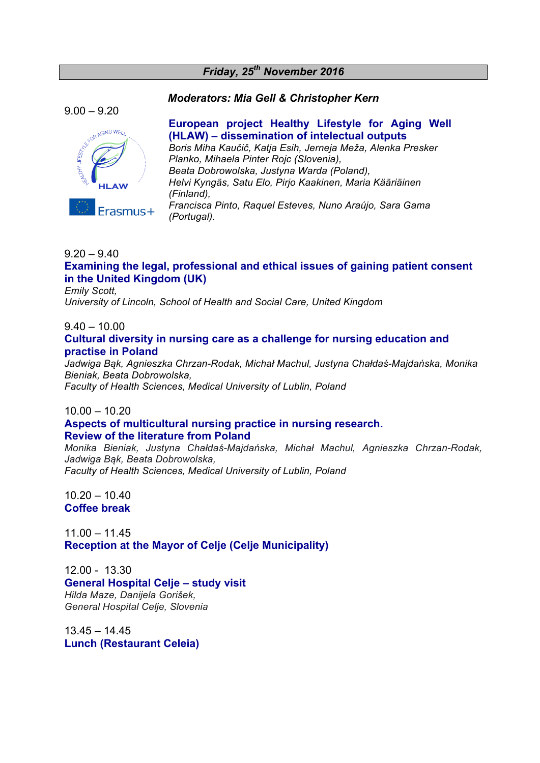#### *Friday, 25th November 2016*

#### *Moderators: Mia Gell & Christopher Kern*

 $9.00 - 9.20$ 



## **European project Healthy Lifestyle for Aging Well (HLAW) – dissemination of intelectual outputs**

*Boris Miha Kaučič, Katja Esih, Jerneja Meža, Alenka Presker Planko, Mihaela Pinter Rojc (Slovenia), Beata Dobrowolska, Justyna Warda (Poland), Helvi Kyngäs, Satu Elo, Pirjo Kaakinen, Maria Kääriäinen (Finland), Francisca Pinto, Raquel Esteves, Nuno Araújo, Sara Gama (Portugal).*

## $9.20 - 9.40$ **Examining the legal, professional and ethical issues of gaining patient consent in the United Kingdom (UK)**

*Emily Scott,* 

*University of Lincoln, School of Health and Social Care, United Kingdom*

 $9.40 - 10.00$ 

#### **Cultural diversity in nursing care as a challenge for nursing education and practise in Poland**

*Jadwiga Bąk, Agnieszka Chrzan-Rodak, Michał Machul, Justyna Chałdaś-Majdańska, Monika Bieniak, Beata Dobrowolska, Faculty of Health Sciences, Medical University of Lublin, Poland*

#### 10.00 – 10.20

#### **Aspects of multicultural nursing practice in nursing research. Review of the literature from Poland**

*Monika Bieniak, Justyna Chałdaś-Majdańska, Michał Machul, Agnieszka Chrzan-Rodak, Jadwiga Bąk, Beata Dobrowolska, Faculty of Health Sciences, Medical University of Lublin, Poland*

10.20 – 10.40 **Coffee break**

11.00 – 11.45 **Reception at the Mayor of Celje (Celje Municipality)**

12.00 - 13.30 **General Hospital Celje – study visit** *Hilda Maze, Danijela Gorišek, General Hospital Celje, Slovenia*

 $13.45 - 14.45$ **Lunch (Restaurant Celeia)**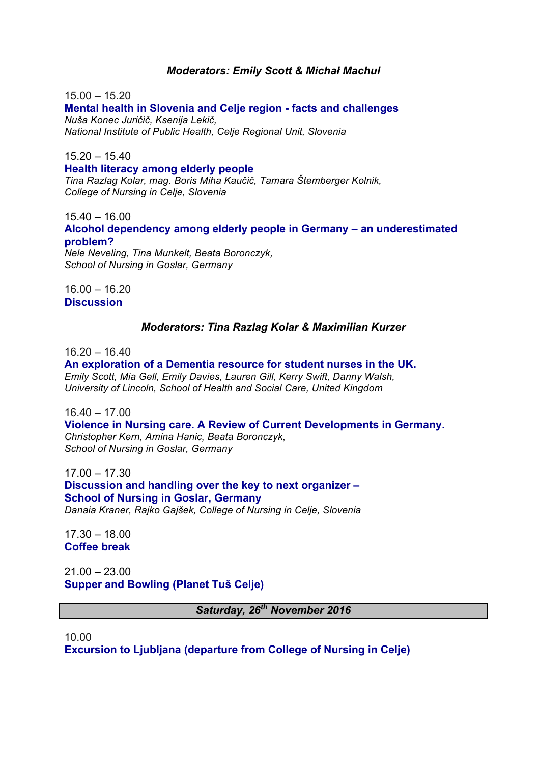#### *Moderators: Emily Scott & Michał Machul*

 $15.00 - 15.20$ **Mental health in Slovenia and Celje region - facts and challenges** *Nuša Konec Juričič, Ksenija Lekič, National Institute of Public Health, Celje Regional Unit, Slovenia*

 $15.20 - 15.40$ 

**Health literacy among elderly people**

*Tina Razlag Kolar, mag. Boris Miha Kaučič, Tamara Štemberger Kolnik, College of Nursing in Celje, Slovenia*

15.40 – 16.00

**Alcohol dependency among elderly people in Germany – an underestimated problem?**

*Nele Neveling, Tina Munkelt, Beata Boronczyk, School of Nursing in Goslar, Germany*

16.00 – 16.20 **Discussion**

#### *Moderators: Tina Razlag Kolar & Maximilian Kurzer*

16.20 – 16.40

**An exploration of a Dementia resource for student nurses in the UK.** *Emily Scott, Mia Gell, Emily Davies, Lauren Gill, Kerry Swift, Danny Walsh, University of Lincoln, School of Health and Social Care, United Kingdom*

16.40 – 17.00

**Violence in Nursing care. A Review of Current Developments in Germany.** *Christopher Kern, Amina Hanic, Beata Boronczyk, School of Nursing in Goslar, Germany*

17.00 – 17.30 **Discussion and handling over the key to next organizer – School of Nursing in Goslar, Germany** *Danaia Kraner, Rajko Gajšek, College of Nursing in Celje, Slovenia*

17.30 – 18.00 **Coffee break**

 $21.00 - 23.00$ **Supper and Bowling (Planet Tuš Celje)**

*Saturday, 26th November 2016*

10.00 **Excursion to Ljubljana (departure from College of Nursing in Celje)**